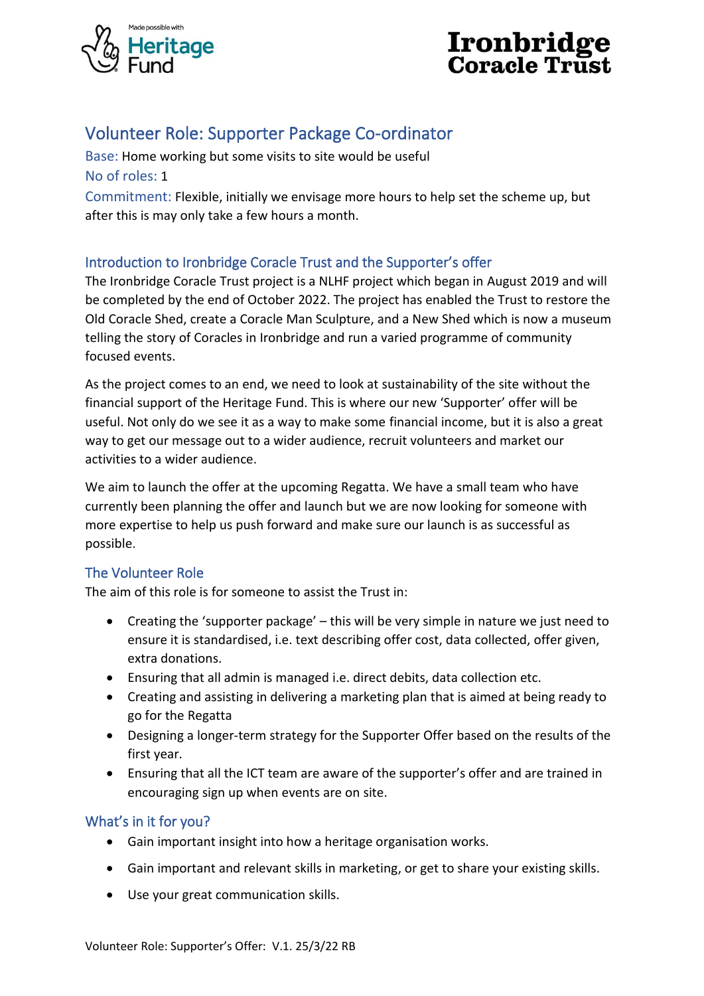



# Volunteer Role: Supporter Package Co-ordinator

Base: Home working but some visits to site would be useful No of roles: 1 Commitment: Flexible, initially we envisage more hours to help set the scheme up, but after this is may only take a few hours a month.

## Introduction to Ironbridge Coracle Trust and the Supporter's offer

The Ironbridge Coracle Trust project is a NLHF project which began in August 2019 and will be completed by the end of October 2022. The project has enabled the Trust to restore the Old Coracle Shed, create a Coracle Man Sculpture, and a New Shed which is now a museum telling the story of Coracles in Ironbridge and run a varied programme of community focused events.

As the project comes to an end, we need to look at sustainability of the site without the financial support of the Heritage Fund. This is where our new 'Supporter' offer will be useful. Not only do we see it as a way to make some financial income, but it is also a great way to get our message out to a wider audience, recruit volunteers and market our activities to a wider audience.

We aim to launch the offer at the upcoming Regatta. We have a small team who have currently been planning the offer and launch but we are now looking for someone with more expertise to help us push forward and make sure our launch is as successful as possible.

## The Volunteer Role

The aim of this role is for someone to assist the Trust in:

- Creating the 'supporter package' this will be very simple in nature we just need to ensure it is standardised, i.e. text describing offer cost, data collected, offer given, extra donations.
- Ensuring that all admin is managed i.e. direct debits, data collection etc.
- Creating and assisting in delivering a marketing plan that is aimed at being ready to go for the Regatta
- Designing a longer-term strategy for the Supporter Offer based on the results of the first year.
- Ensuring that all the ICT team are aware of the supporter's offer and are trained in encouraging sign up when events are on site.

## What's in it for you?

- Gain important insight into how a heritage organisation works.
- Gain important and relevant skills in marketing, or get to share your existing skills.
- Use your great communication skills.